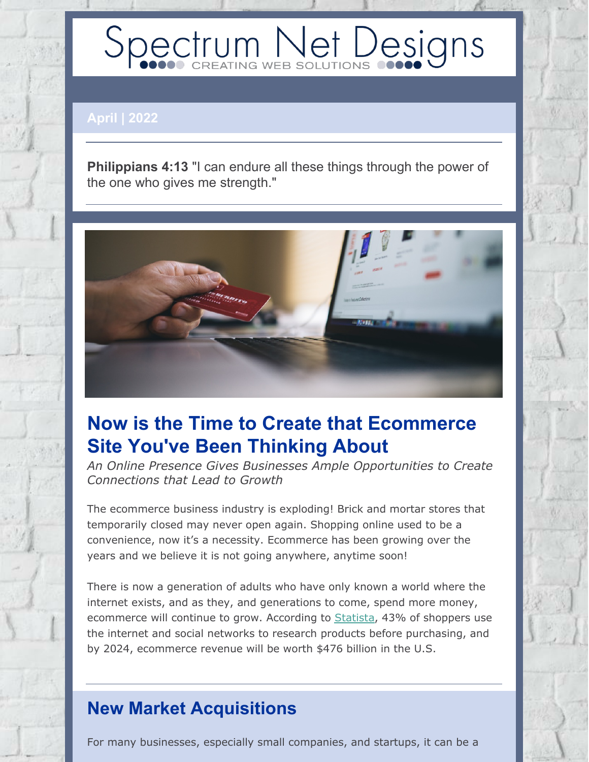# Spectrum Net Designs

#### **April | 2022**

**Philippians 4:13** "I can endure all these things through the power of the one who gives me strength."



## **Now is the Time to Create that Ecommerce Site You've Been Thinking About**

*An Online Presence Gives Businesses Ample Opportunities to Create Connections that Lead to Growth*

The ecommerce business industry is exploding! Brick and mortar stores that temporarily closed may never open again. Shopping online used to be a convenience, now it's a necessity. Ecommerce has been growing over the years and we believe it is not going anywhere, anytime soon!

There is now a generation of adults who have only known a world where the internet exists, and as they, and generations to come, spend more money, ecommerce will continue to grow. According to [Statista](https://www.statista.com/statistics/1031962/global-social-commerce-activities-age/), 43% of shoppers use the internet and social networks to research products before purchasing, and by 2024, ecommerce revenue will be worth \$476 billion in the U.S.

### **New Market Acquisitions**

For many businesses, especially small companies, and startups, it can be a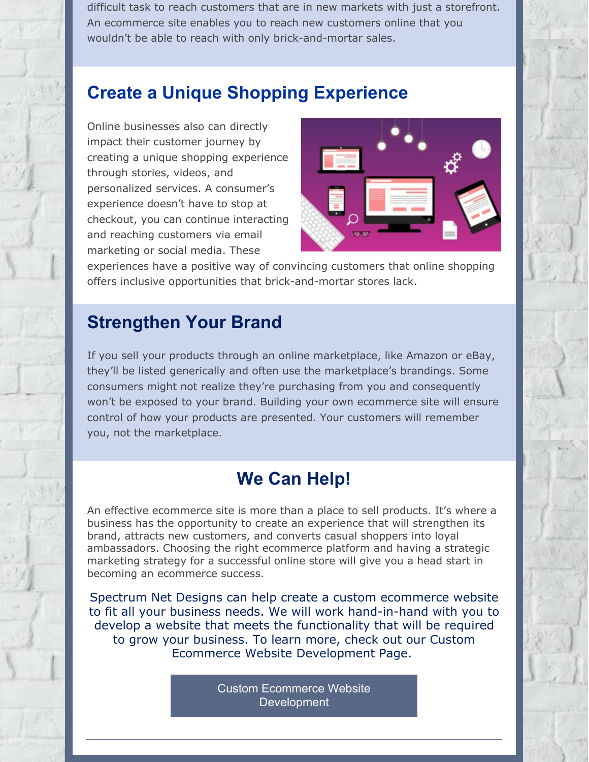difficult task to reach customers that are in new markets with just a storefront. An ecommerce site enables you to reach new customers online that you wouldn't be able to reach with only brick-and-mortar sales.

#### **Create a Unique Shopping Experience**

Online businesses also can directly impact their customer journey by creating a unique shopping experience through stories, videos, and personalized services. A consumer's experience doesn't have to stop at checkout, you can continue interacting and reaching customers via email marketing or social media. These



experiences have a positive way of convincing customers that online shopping offers inclusive opportunities that brick-and-mortar stores lack.

#### **Strengthen Your Brand**

If you sell your products through an online marketplace, like Amazon or eBay, they'll be listed generically and often use the marketplace's brandings. Some consumers might not realize they're purchasing from you and consequently won't be exposed to your brand. Building your own ecommerce site will ensure control of how your products are presented. Your customers will remember you, not the marketplace.

#### **We Can Help!**

An effective ecommerce site is more than a place to sell products. It's where a business has the opportunity to create an experience that will strengthen its brand, attracts new customers, and converts casual shoppers into loyal ambassadors. Choosing the right ecommerce platform and having a strategic marketing strategy for a successful online store will give you a head start in becoming an ecommerce success.

Spectrum Net Designs can help create a custom ecommerce website to fit all your business needs. We will work hand-in-hand with you to develop a website that meets the functionality that will be required to grow your business. To learn more, check out our Custom Ecommerce Website Development Page.

> Custom Ecommerce Website **[Development](https://www.spectrumnetdesigns.com/web-development/e-commerce-development/)**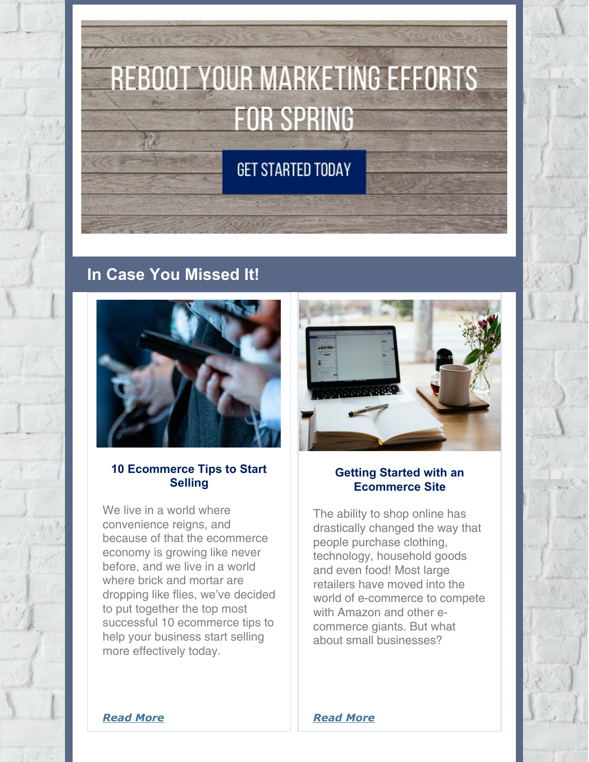# **REBOOT YOUR MARKETING EFFORTS FOR SPRING**

**GET STARTED TODAY** 

#### **In Case You Missed It!**



#### **10 Ecommerce Tips to Start Selling**

We live in a world where convenience reigns, and because of that the ecommerce economy is growing like never before, and we live in a world where brick and mortar are dropping like flies, we've decided to put together the top most successful 10 ecommerce tips to help your business start selling more effectively today.



#### **Getting Started with an Ecommerce Site**

The ability to shop online has drastically changed the way that people purchase clothing, technology, household goods and even food! Most large retailers have moved into the world of e-commerce to compete with Amazon and other ecommerce giants. But what about small businesses?

*[Read](https://www.spectrumnetdesigns.com/getting-started-with-e-commerce/) More*